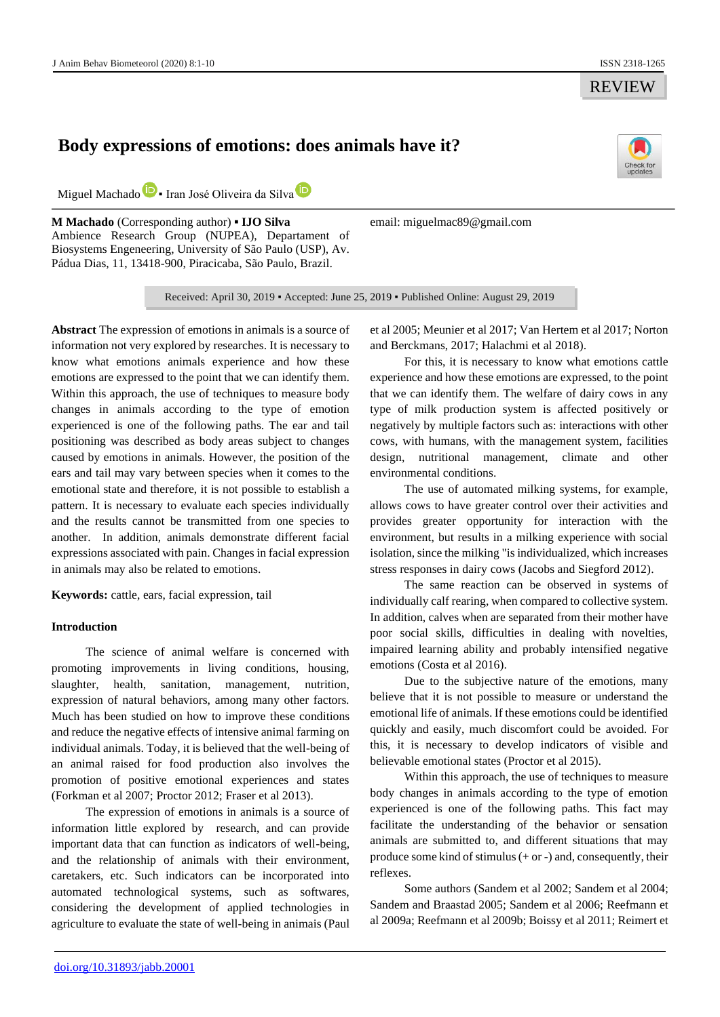REVIEW

# **Body expressions of emotions: does animals have it?**



Miguel Machad[o](https://orcid.org/0000-0003-0531-3877)<sup>D</sup> - Ir[a](https://orcid.org/0000-0002-4416-8433)n José Oliveira da Silva<sup>D</sup>

**M Machado** (Corresponding author) **▪ IJO Silva** Ambience Research Group (NUPEA), Departament of Biosystems Engeneering, University of São Paulo (USP), Av. Pádua Dias, 11, 13418-900, Piracicaba, São Paulo, Brazil.

email: miguelmac89@gmail.com

Received: April 30, 2019 ▪ Accepted: June 25, 2019 ▪ Published Online: August 29, 2019

**Abstract** The expression of emotions in animals is a source of information not very explored by researches. It is necessary to know what emotions animals experience and how these emotions are expressed to the point that we can identify them. Within this approach, the use of techniques to measure body changes in animals according to the type of emotion experienced is one of the following paths. The ear and tail positioning was described as body areas subject to changes caused by emotions in animals. However, the position of the ears and tail may vary between species when it comes to the emotional state and therefore, it is not possible to establish a pattern. It is necessary to evaluate each species individually and the results cannot be transmitted from one species to another. In addition, animals demonstrate different facial expressions associated with pain. Changes in facial expression in animals may also be related to emotions.

**Keywords:** cattle, ears, facial expression, tail

## **Introduction**

The science of animal welfare is concerned with promoting improvements in living conditions, housing, slaughter, health, sanitation, management, nutrition, expression of natural behaviors, among many other factors. Much has been studied on how to improve these conditions and reduce the negative effects of intensive animal farming on individual animals. Today, it is believed that the well-being of an animal raised for food production also involves the promotion of positive emotional experiences and states (Forkman et al 2007; Proctor 2012; Fraser et al 2013).

The expression of emotions in animals is a source of information little explored by research, and can provide important data that can function as indicators of well-being, and the relationship of animals with their environment, caretakers, etc. Such indicators can be incorporated into automated technological systems, such as softwares, considering the development of applied technologies in agriculture to evaluate the state of well-being in animais (Paul

et al 2005; Meunier et al 2017; Van Hertem et al 2017; Norton and Berckmans, 2017; Halachmi et al 2018).

For this, it is necessary to know what emotions cattle experience and how these emotions are expressed, to the point that we can identify them. The welfare of dairy cows in any type of milk production system is affected positively or negatively by multiple factors such as: interactions with other cows, with humans, with the management system, facilities design, nutritional management, climate and other environmental conditions.

The use of automated milking systems, for example, allows cows to have greater control over their activities and provides greater opportunity for interaction with the environment, but results in a milking experience with social isolation, since the milking "is individualized, which increases stress responses in dairy cows (Jacobs and Siegford 2012).

The same reaction can be observed in systems of individually calf rearing, when compared to collective system. In addition, calves when are separated from their mother have poor social skills, difficulties in dealing with novelties, impaired learning ability and probably intensified negative emotions (Costa et al 2016).

Due to the subjective nature of the emotions, many believe that it is not possible to measure or understand the emotional life of animals. If these emotions could be identified quickly and easily, much discomfort could be avoided. For this, it is necessary to develop indicators of visible and believable emotional states (Proctor et al 2015).

Within this approach, the use of techniques to measure body changes in animals according to the type of emotion experienced is one of the following paths. This fact may facilitate the understanding of the behavior or sensation animals are submitted to, and different situations that may produce some kind of stimulus  $(+ or -)$  and, consequently, their reflexes.

Some authors (Sandem et al 2002; Sandem et al 2004; Sandem and Braastad 2005; Sandem et al 2006; Reefmann et al 2009a; Reefmann et al 2009b; Boissy et al 2011; Reimert et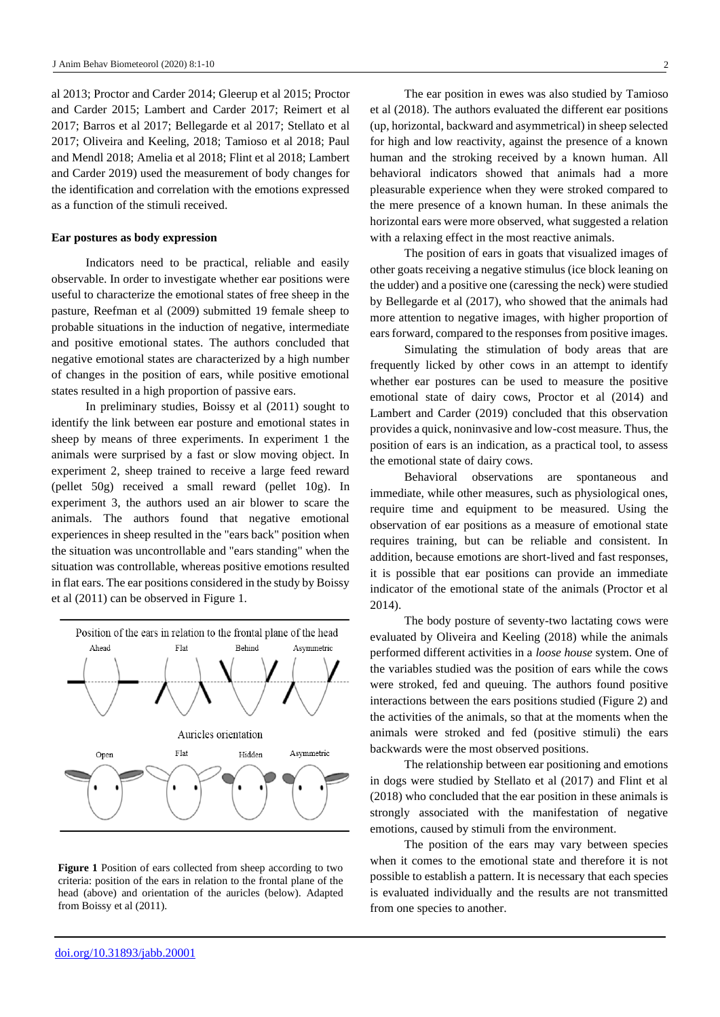al 2013; Proctor and Carder 2014; Gleerup et al 2015; Proctor and Carder 2015; Lambert and Carder 2017; Reimert et al 2017; Barros et al 2017; Bellegarde et al 2017; Stellato et al 2017; Oliveira and Keeling, 2018; Tamioso et al 2018; Paul and Mendl 2018; Amelia et al 2018; Flint et al 2018; Lambert and Carder 2019) used the measurement of body changes for the identification and correlation with the emotions expressed as a function of the stimuli received.

## **Ear postures as body expression**

Indicators need to be practical, reliable and easily observable. In order to investigate whether ear positions were useful to characterize the emotional states of free sheep in the pasture, Reefman et al (2009) submitted 19 female sheep to probable situations in the induction of negative, intermediate and positive emotional states. The authors concluded that negative emotional states are characterized by a high number of changes in the position of ears, while positive emotional states resulted in a high proportion of passive ears.

In preliminary studies, Boissy et al (2011) sought to identify the link between ear posture and emotional states in sheep by means of three experiments. In experiment 1 the animals were surprised by a fast or slow moving object. In experiment 2, sheep trained to receive a large feed reward (pellet 50g) received a small reward (pellet 10g). In experiment 3, the authors used an air blower to scare the animals. The authors found that negative emotional experiences in sheep resulted in the "ears back" position when the situation was uncontrollable and "ears standing" when the situation was controllable, whereas positive emotions resulted in flat ears. The ear positions considered in the study by Boissy et al (2011) can be observed in Figure 1.



**Figure 1** Position of ears collected from sheep according to two criteria: position of the ears in relation to the frontal plane of the head (above) and orientation of the auricles (below). Adapted from Boissy et al (2011).

The ear position in ewes was also studied by Tamioso et al (2018). The authors evaluated the different ear positions (up, horizontal, backward and asymmetrical) in sheep selected for high and low reactivity, against the presence of a known human and the stroking received by a known human. All behavioral indicators showed that animals had a more pleasurable experience when they were stroked compared to the mere presence of a known human. In these animals the horizontal ears were more observed, what suggested a relation with a relaxing effect in the most reactive animals.

The position of ears in goats that visualized images of other goats receiving a negative stimulus (ice block leaning on the udder) and a positive one (caressing the neck) were studied by Bellegarde et al (2017), who showed that the animals had more attention to negative images, with higher proportion of ears forward, compared to the responses from positive images.

Simulating the stimulation of body areas that are frequently licked by other cows in an attempt to identify whether ear postures can be used to measure the positive emotional state of dairy cows, Proctor et al (2014) and Lambert and Carder (2019) concluded that this observation provides a quick, noninvasive and low-cost measure. Thus, the position of ears is an indication, as a practical tool, to assess the emotional state of dairy cows.

Behavioral observations are spontaneous and immediate, while other measures, such as physiological ones, require time and equipment to be measured. Using the observation of ear positions as a measure of emotional state requires training, but can be reliable and consistent. In addition, because emotions are short-lived and fast responses, it is possible that ear positions can provide an immediate indicator of the emotional state of the animals (Proctor et al 2014).

The body posture of seventy-two lactating cows were evaluated by Oliveira and Keeling (2018) while the animals performed different activities in a *loose house* system. One of the variables studied was the position of ears while the cows were stroked, fed and queuing. The authors found positive interactions between the ears positions studied (Figure 2) and the activities of the animals, so that at the moments when the animals were stroked and fed (positive stimuli) the ears backwards were the most observed positions.

The relationship between ear positioning and emotions in dogs were studied by Stellato et al (2017) and Flint et al (2018) who concluded that the ear position in these animals is strongly associated with the manifestation of negative emotions, caused by stimuli from the environment.

The position of the ears may vary between species when it comes to the emotional state and therefore it is not possible to establish a pattern. It is necessary that each species is evaluated individually and the results are not transmitted from one species to another.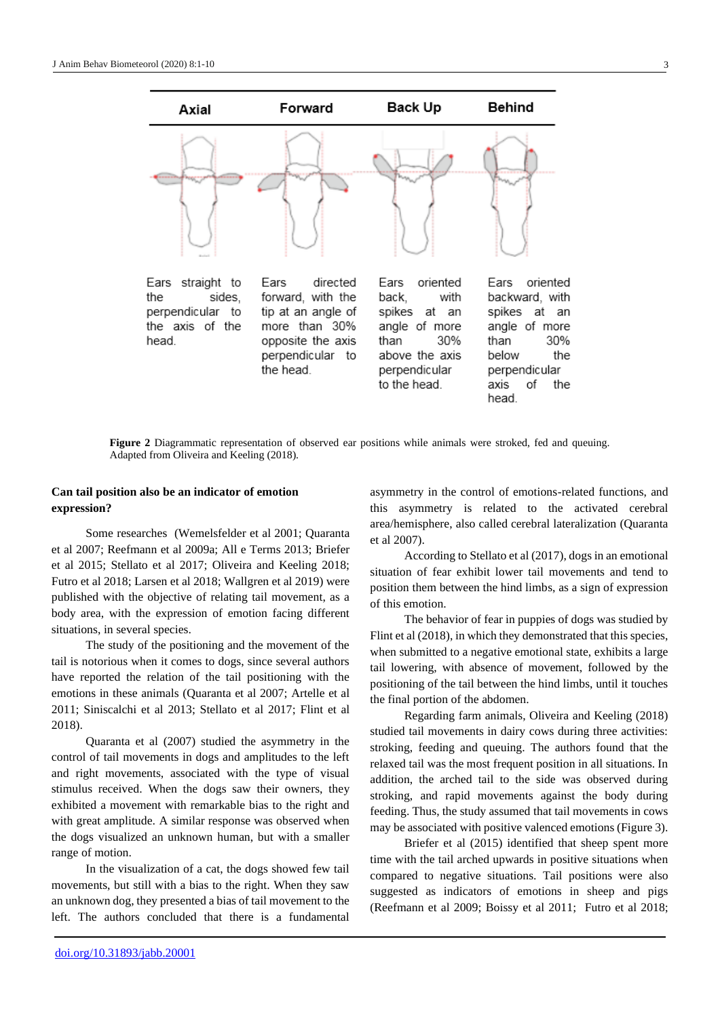

**Figure 2** Diagrammatic representation of observed ear positions while animals were stroked, fed and queuing. Adapted from Oliveira and Keeling (2018).

## **Can tail position also be an indicator of emotion expression?**

Some researches (Wemelsfelder et al 2001; Quaranta et al 2007; Reefmann et al 2009a; All e Terms 2013; Briefer et al 2015; Stellato et al 2017; Oliveira and Keeling 2018; Futro et al 2018; Larsen et al 2018; Wallgren et al 2019) were published with the objective of relating tail movement, as a body area, with the expression of emotion facing different situations, in several species.

The study of the positioning and the movement of the tail is notorious when it comes to dogs, since several authors have reported the relation of the tail positioning with the emotions in these animals (Quaranta et al 2007; Artelle et al 2011; Siniscalchi et al 2013; Stellato et al 2017; Flint et al 2018).

Quaranta et al (2007) studied the asymmetry in the control of tail movements in dogs and amplitudes to the left and right movements, associated with the type of visual stimulus received. When the dogs saw their owners, they exhibited a movement with remarkable bias to the right and with great amplitude. A similar response was observed when the dogs visualized an unknown human, but with a smaller range of motion.

In the visualization of a cat, the dogs showed few tail movements, but still with a bias to the right. When they saw an unknown dog, they presented a bias of tail movement to the left. The authors concluded that there is a fundamental asymmetry in the control of emotions-related functions, and this asymmetry is related to the activated cerebral area/hemisphere, also called cerebral lateralization (Quaranta et al 2007).

According to Stellato et al (2017), dogs in an emotional situation of fear exhibit lower tail movements and tend to position them between the hind limbs, as a sign of expression of this emotion.

The behavior of fear in puppies of dogs was studied by Flint et al (2018), in which they demonstrated that this species, when submitted to a negative emotional state, exhibits a large tail lowering, with absence of movement, followed by the positioning of the tail between the hind limbs, until it touches the final portion of the abdomen.

Regarding farm animals, Oliveira and Keeling (2018) studied tail movements in dairy cows during three activities: stroking, feeding and queuing. The authors found that the relaxed tail was the most frequent position in all situations. In addition, the arched tail to the side was observed during stroking, and rapid movements against the body during feeding. Thus, the study assumed that tail movements in cows may be associated with positive valenced emotions (Figure 3).

Briefer et al (2015) identified that sheep spent more time with the tail arched upwards in positive situations when compared to negative situations. Tail positions were also suggested as indicators of emotions in sheep and pigs (Reefmann et al 2009; Boissy et al 2011; Futro et al 2018;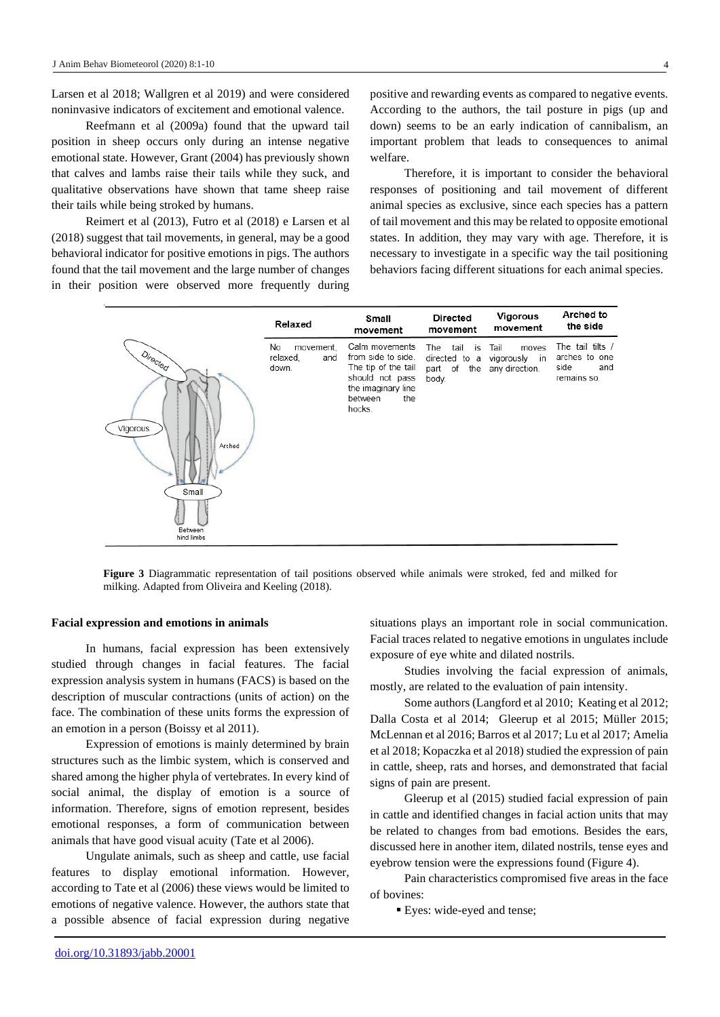Larsen et al 2018; Wallgren et al 2019) and were considered noninvasive indicators of excitement and emotional valence.

Reefmann et al (2009a) found that the upward tail position in sheep occurs only during an intense negative emotional state. However, Grant (2004) has previously shown that calves and lambs raise their tails while they suck, and qualitative observations have shown that tame sheep raise their tails while being stroked by humans.

Reimert et al (2013), Futro et al (2018) e Larsen et al (2018) suggest that tail movements, in general, may be a good behavioral indicator for positive emotions in pigs. The authors found that the tail movement and the large number of changes in their position were observed more frequently during

positive and rewarding events as compared to negative events. According to the authors, the tail posture in pigs (up and down) seems to be an early indication of cannibalism, an important problem that leads to consequences to animal welfare.

Therefore, it is important to consider the behavioral responses of positioning and tail movement of different animal species as exclusive, since each species has a pattern of tail movement and this may be related to opposite emotional states. In addition, they may vary with age. Therefore, it is necessary to investigate in a specific way the tail positioning behaviors facing different situations for each animal species.



**Figure 3** Diagrammatic representation of tail positions observed while animals were stroked, fed and milked for milking. Adapted from Oliveira and Keeling (2018).

#### **Facial expression and emotions in animals**

In humans, facial expression has been extensively studied through changes in facial features. The facial expression analysis system in humans (FACS) is based on the description of muscular contractions (units of action) on the face. The combination of these units forms the expression of an emotion in a person (Boissy et al 2011).

Expression of emotions is mainly determined by brain structures such as the limbic system, which is conserved and shared among the higher phyla of vertebrates. In every kind of social animal, the display of emotion is a source of information. Therefore, signs of emotion represent, besides emotional responses, a form of communication between animals that have good visual acuity (Tate et al 2006).

Ungulate animals, such as sheep and cattle, use facial features to display emotional information. However, according to Tate et al (2006) these views would be limited to emotions of negative valence. However, the authors state that a possible absence of facial expression during negative situations plays an important role in social communication. Facial traces related to negative emotions in ungulates include exposure of eye white and dilated nostrils.

Studies involving the facial expression of animals, mostly, are related to the evaluation of pain intensity.

Some authors (Langford et al 2010; Keating et al 2012; Dalla Costa et al 2014; Gleerup et al 2015; Müller 2015; McLennan et al 2016; Barros et al 2017; Lu et al 2017; Amelia et al 2018; Kopaczka et al 2018) studied the expression of pain in cattle, sheep, rats and horses, and demonstrated that facial signs of pain are present.

Gleerup et al (2015) studied facial expression of pain in cattle and identified changes in facial action units that may be related to changes from bad emotions. Besides the ears, discussed here in another item, dilated nostrils, tense eyes and eyebrow tension were the expressions found (Figure 4).

Pain characteristics compromised five areas in the face of bovines:

■ Eyes: wide-eyed and tense;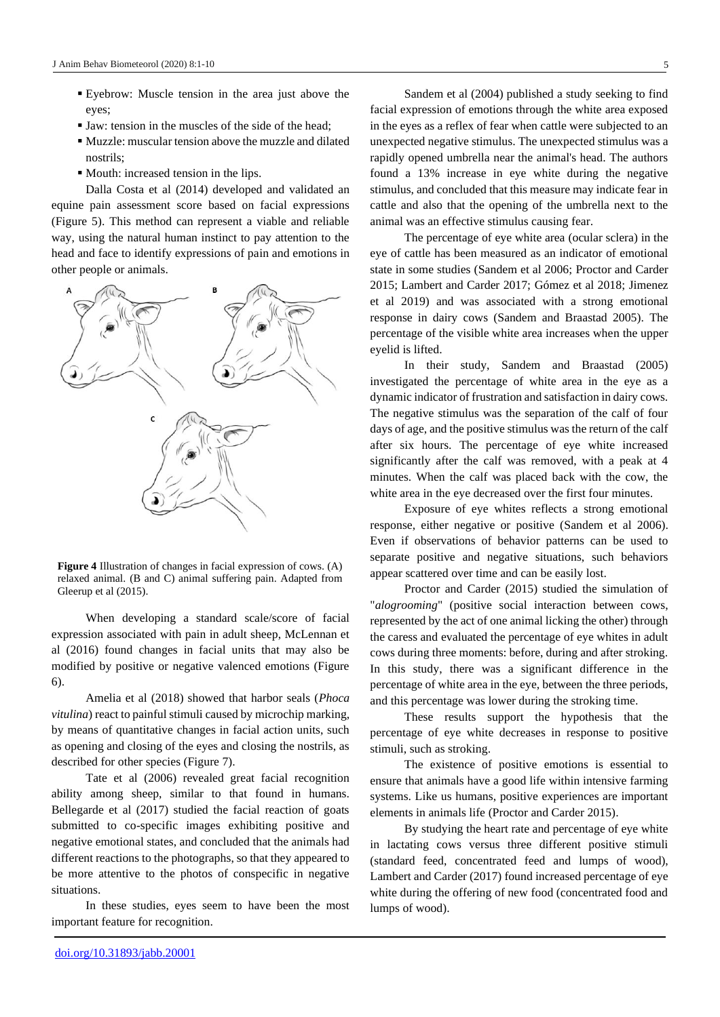- Eyebrow: Muscle tension in the area just above the eyes;
- Jaw: tension in the muscles of the side of the head;
- Muzzle: muscular tension above the muzzle and dilated nostrils;
- Mouth: increased tension in the lips.

Dalla Costa et al (2014) developed and validated an equine pain assessment score based on facial expressions (Figure 5). This method can represent a viable and reliable way, using the natural human instinct to pay attention to the head and face to identify expressions of pain and emotions in other people or animals.



**Figure 4** Illustration of changes in facial expression of cows. (A) relaxed animal. (B and C) animal suffering pain. Adapted from Gleerup et al (2015).

When developing a standard scale/score of facial expression associated with pain in adult sheep, McLennan et al (2016) found changes in facial units that may also be modified by positive or negative valenced emotions (Figure 6).

Amelia et al (2018) showed that harbor seals (*Phoca vitulina*) react to painful stimuli caused by microchip marking, by means of quantitative changes in facial action units, such as opening and closing of the eyes and closing the nostrils, as described for other species (Figure 7).

Tate et al (2006) revealed great facial recognition ability among sheep, similar to that found in humans. Bellegarde et al (2017) studied the facial reaction of goats submitted to co-specific images exhibiting positive and negative emotional states, and concluded that the animals had different reactions to the photographs, so that they appeared to be more attentive to the photos of conspecific in negative situations.

In these studies, eyes seem to have been the most important feature for recognition.

Sandem et al (2004) published a study seeking to find facial expression of emotions through the white area exposed in the eyes as a reflex of fear when cattle were subjected to an unexpected negative stimulus. The unexpected stimulus was a rapidly opened umbrella near the animal's head. The authors found a 13% increase in eye white during the negative stimulus, and concluded that this measure may indicate fear in cattle and also that the opening of the umbrella next to the animal was an effective stimulus causing fear.

The percentage of eye white area (ocular sclera) in the eye of cattle has been measured as an indicator of emotional state in some studies (Sandem et al 2006; Proctor and Carder 2015; Lambert and Carder 2017; Gómez et al 2018; Jimenez et al 2019) and was associated with a strong emotional response in dairy cows (Sandem and Braastad 2005). The percentage of the visible white area increases when the upper eyelid is lifted.

In their study, Sandem and Braastad (2005) investigated the percentage of white area in the eye as a dynamic indicator of frustration and satisfaction in dairy cows. The negative stimulus was the separation of the calf of four days of age, and the positive stimulus was the return of the calf after six hours. The percentage of eye white increased significantly after the calf was removed, with a peak at 4 minutes. When the calf was placed back with the cow, the white area in the eye decreased over the first four minutes.

Exposure of eye whites reflects a strong emotional response, either negative or positive (Sandem et al 2006). Even if observations of behavior patterns can be used to separate positive and negative situations, such behaviors appear scattered over time and can be easily lost.

Proctor and Carder (2015) studied the simulation of "*alogrooming*" (positive social interaction between cows, represented by the act of one animal licking the other) through the caress and evaluated the percentage of eye whites in adult cows during three moments: before, during and after stroking. In this study, there was a significant difference in the percentage of white area in the eye, between the three periods, and this percentage was lower during the stroking time.

These results support the hypothesis that the percentage of eye white decreases in response to positive stimuli, such as stroking.

The existence of positive emotions is essential to ensure that animals have a good life within intensive farming systems. Like us humans, positive experiences are important elements in animals life (Proctor and Carder 2015).

By studying the heart rate and percentage of eye white in lactating cows versus three different positive stimuli (standard feed, concentrated feed and lumps of wood), Lambert and Carder (2017) found increased percentage of eye white during the offering of new food (concentrated food and lumps of wood).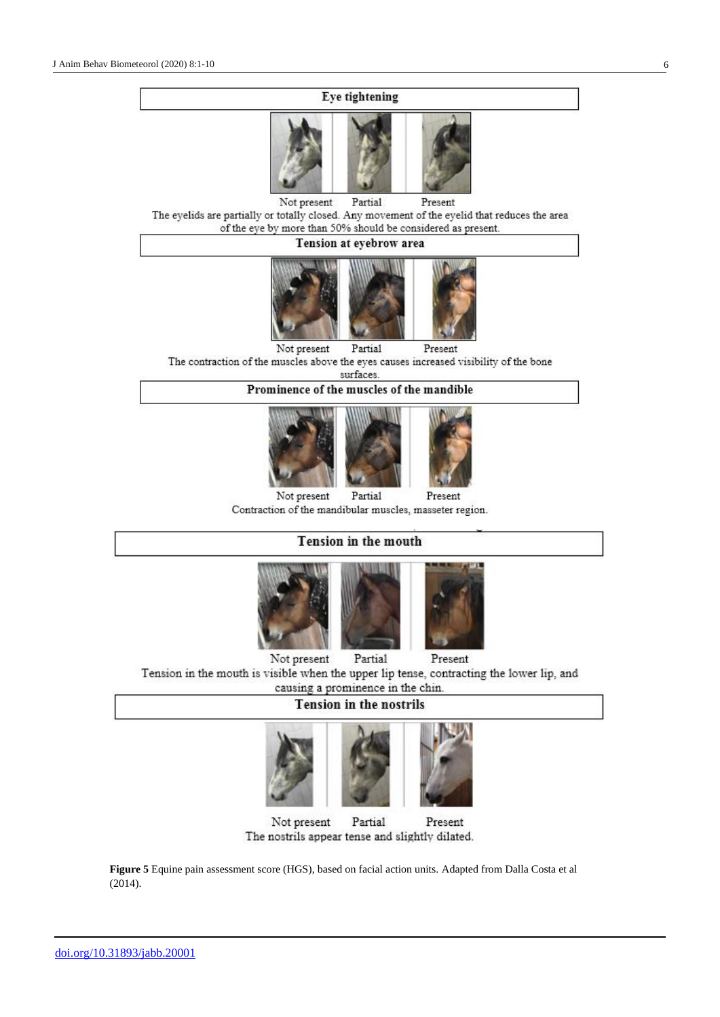## **Eye tightening**



Not present Partial Present The eyelids are partially or totally closed. Any movement of the eyelid that reduces the area of the eye by more than 50% should be considered as present.

### Tension at eyebrow area



Not present Partial Present The contraction of the muscles above the eyes causes increased visibility of the bone surfaces

Prominence of the muscles of the mandible



Not present Partial Present Contraction of the mandibular muscles, masseter region.

## Tension in the mouth



Not present Partial Present Tension in the mouth is visible when the upper lip tense, contracting the lower lip, and causing a prominence in the chin.

## **Tension in the nostrils**





**Figure 5** Equine pain assessment score (HGS), based on facial action units. Adapted from Dalla Costa et al (2014).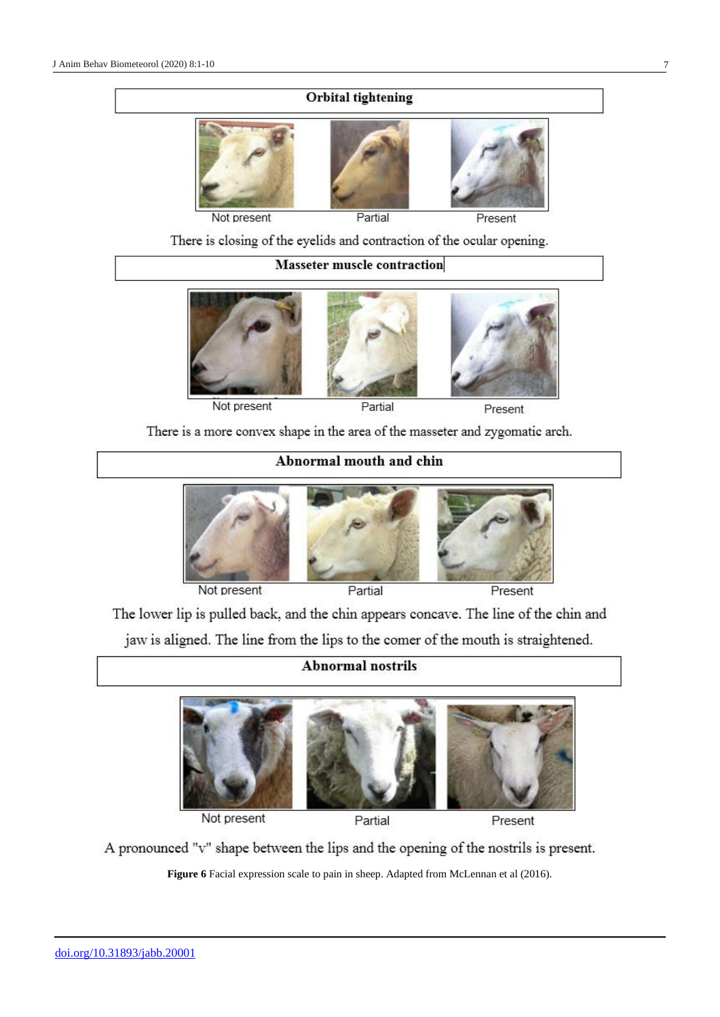## Orbital tightening



There is closing of the eyelids and contraction of the ocular opening.

## **Masseter muscle contraction**



Not present

Partial

Present

There is a more convex shape in the area of the masseter and zygomatic arch.

# Abnormal mouth and chin



Not present

Partial

Present

The lower lip is pulled back, and the chin appears concave. The line of the chin and jaw is aligned. The line from the lips to the comer of the mouth is straightened.

## **Abnormal nostrils**



Not present

Partial

A pronounced "v" shape between the lips and the opening of the nostrils is present.

**Figure 6** Facial expression scale to pain in sheep. Adapted from McLennan et al (2016).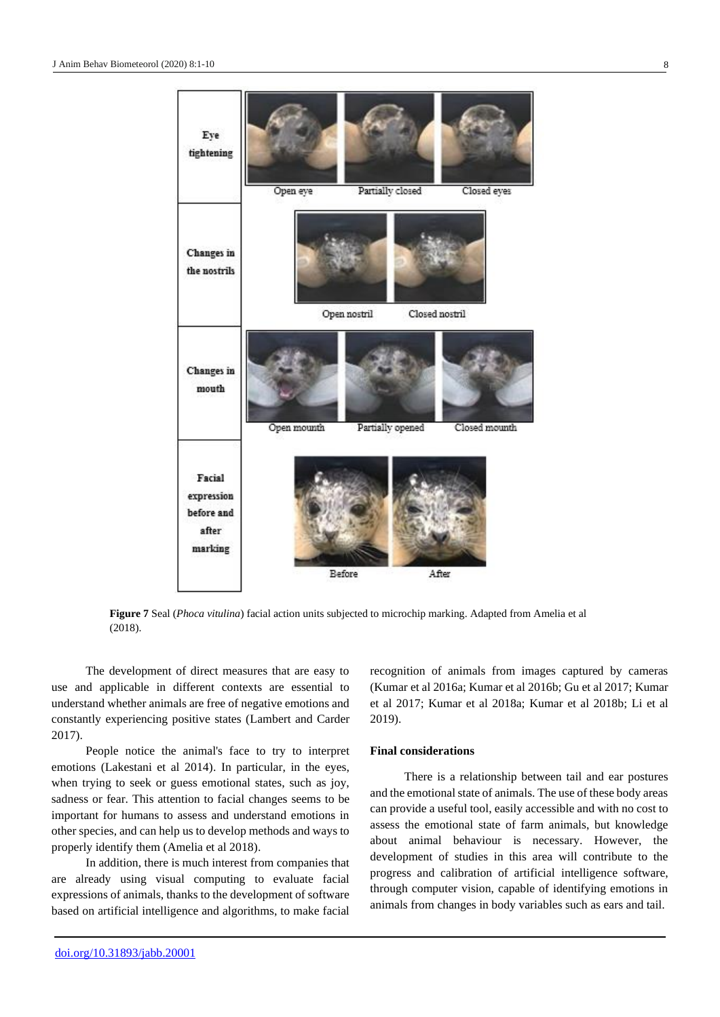

**Figure 7** Seal (*Phoca vitulina*) facial action units subjected to microchip marking. Adapted from Amelia et al (2018).

The development of direct measures that are easy to use and applicable in different contexts are essential to understand whether animals are free of negative emotions and constantly experiencing positive states (Lambert and Carder 2017).

People notice the animal's face to try to interpret emotions (Lakestani et al 2014). In particular, in the eyes, when trying to seek or guess emotional states, such as joy, sadness or fear. This attention to facial changes seems to be important for humans to assess and understand emotions in other species, and can help us to develop methods and ways to properly identify them (Amelia et al 2018).

In addition, there is much interest from companies that are already using visual computing to evaluate facial expressions of animals, thanks to the development of software based on artificial intelligence and algorithms, to make facial recognition of animals from images captured by cameras (Kumar et al 2016a; Kumar et al 2016b; Gu et al 2017; Kumar et al 2017; Kumar et al 2018a; Kumar et al 2018b; Li et al 2019).

## **Final considerations**

There is a relationship between tail and ear postures and the emotional state of animals. The use of these body areas can provide a useful tool, easily accessible and with no cost to assess the emotional state of farm animals, but knowledge about animal behaviour is necessary. However, the development of studies in this area will contribute to the progress and calibration of artificial intelligence software, through computer vision, capable of identifying emotions in animals from changes in body variables such as ears and tail.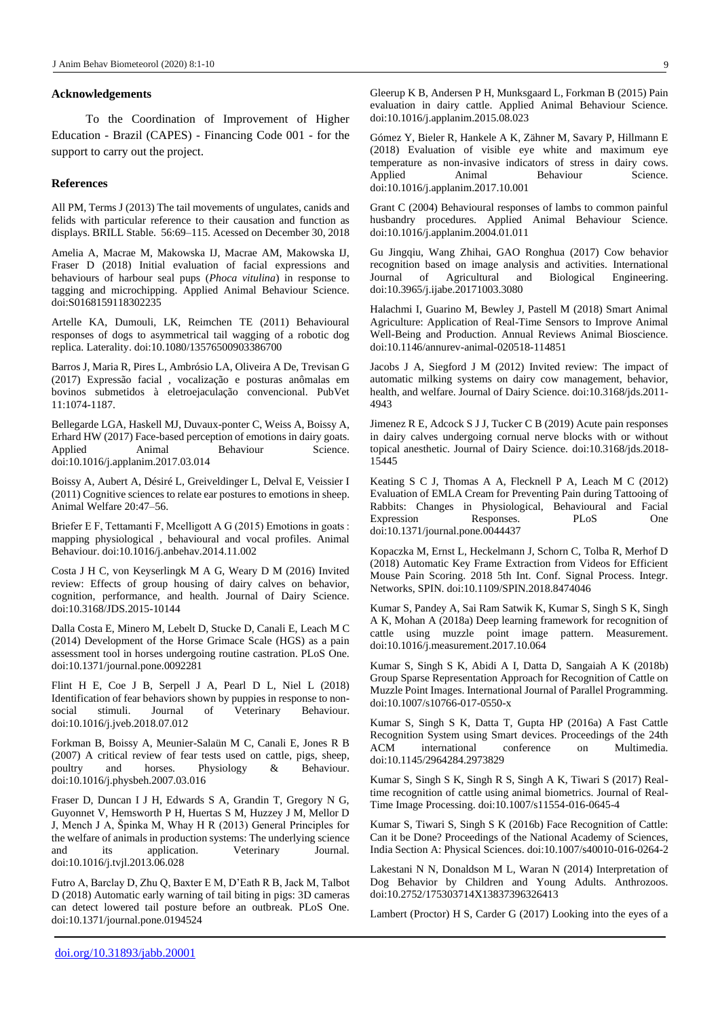#### **Acknowledgements**

To the Coordination of Improvement of Higher Education - Brazil (CAPES) - Financing Code 001 - for the support to carry out the project.

### **References**

All PM, Terms J (2013) The tail movements of ungulates, canids and felids with particular reference to their causation and function as displays. BRILL Stable. 56:69–115. Acessed on December 30, 2018

Amelia A, Macrae M, Makowska IJ, Macrae AM, Makowska IJ, Fraser D (2018) Initial evaluation of facial expressions and behaviours of harbour seal pups (*Phoca vitulina*) in response to tagging and microchipping. Applied Animal Behaviour Science. doi:S0168159118302235

Artelle KA, Dumouli, LK, Reimchen TE (2011) Behavioural responses of dogs to asymmetrical tail wagging of a robotic dog replica. Laterality. doi:10.1080/13576500903386700

Barros J, Maria R, Pires L, Ambrósio LA, Oliveira A De, Trevisan G (2017) Expressão facial , vocalização e posturas anômalas em bovinos submetidos à eletroejaculação convencional. PubVet 11:1074-1187.

Bellegarde LGA, Haskell MJ, Duvaux-ponter C, Weiss A, Boissy A, Erhard HW (2017) Face-based perception of emotions in dairy goats. Applied Animal Behaviour Science. doi:10.1016/j.applanim.2017.03.014

Boissy A, Aubert A, Désiré L, Greiveldinger L, Delval E, Veissier I (2011) Cognitive sciences to relate ear postures to emotions in sheep. Animal Welfare 20:47–56.

Briefer E F, Tettamanti F, Mcelligott A G (2015) Emotions in goats : mapping physiological , behavioural and vocal profiles. Animal Behaviour. doi:10.1016/j.anbehav.2014.11.002

Costa J H C, von Keyserlingk M A G, Weary D M (2016) Invited review: Effects of group housing of dairy calves on behavior, cognition, performance, and health. Journal of Dairy Science. doi:10.3168/JDS.2015-10144

Dalla Costa E, Minero M, Lebelt D, Stucke D, Canali E, Leach M C (2014) Development of the Horse Grimace Scale (HGS) as a pain assessment tool in horses undergoing routine castration. PLoS One. doi:10.1371/journal.pone.0092281

Flint H E, Coe J B, Serpell J A, Pearl D L, Niel L (2018) Identification of fear behaviors shown by puppies in response to nonsocial stimuli. Journal of Veterinary Behaviour. doi:10.1016/j.jveb.2018.07.012

Forkman B, Boissy A, Meunier-Salaün M C, Canali E, Jones R B (2007) A critical review of fear tests used on cattle, pigs, sheep, poultry and horses. Physiology & Behaviour. doi:10.1016/j.physbeh.2007.03.016

Fraser D, Duncan I J H, Edwards S A, Grandin T, Gregory N G, Guyonnet V, Hemsworth P H, Huertas S M, Huzzey J M, Mellor D J, Mench J A, Špinka M, Whay H R (2013) General Principles for the welfare of animals in production systems: The underlying science and its application. Veterinary Journal. doi:10.1016/j.tvjl.2013.06.028

Futro A, Barclay D, Zhu Q, Baxter E M, D'Eath R B, Jack M, Talbot D (2018) Automatic early warning of tail biting in pigs: 3D cameras can detect lowered tail posture before an outbreak. PLoS One. doi:10.1371/journal.pone.0194524

Gómez Y, Bieler R, Hankele A K, Zähner M, Savary P, Hillmann E (2018) Evaluation of visible eye white and maximum eye temperature as non-invasive indicators of stress in dairy cows. Applied Animal Behaviour Science. doi:10.1016/j.applanim.2017.10.001

Grant C (2004) Behavioural responses of lambs to common painful husbandry procedures. Applied Animal Behaviour Science. doi:10.1016/j.applanim.2004.01.011

Gu Jingqiu, Wang Zhihai, GAO Ronghua (2017) Cow behavior recognition based on image analysis and activities. International Journal of Agricultural and Biological Engineering. doi:10.3965/j.ijabe.20171003.3080

Halachmi I, Guarino M, Bewley J, Pastell M (2018) Smart Animal Agriculture: Application of Real-Time Sensors to Improve Animal Well-Being and Production. Annual Reviews Animal Bioscience. doi:10.1146/annurev-animal-020518-114851

Jacobs J A, Siegford J M (2012) Invited review: The impact of automatic milking systems on dairy cow management, behavior, health, and welfare. Journal of Dairy Science. doi:10.3168/jds.2011- 4943

Jimenez R E, Adcock S J J, Tucker C B (2019) Acute pain responses in dairy calves undergoing cornual nerve blocks with or without topical anesthetic. Journal of Dairy Science. doi:10.3168/jds.2018- 15445

Keating S C J, Thomas A A, Flecknell P A, Leach M C (2012) Evaluation of EMLA Cream for Preventing Pain during Tattooing of Rabbits: Changes in Physiological, Behavioural and Facial Expression Responses. PLoS One doi:10.1371/journal.pone.0044437

Kopaczka M, Ernst L, Heckelmann J, Schorn C, Tolba R, Merhof D (2018) Automatic Key Frame Extraction from Videos for Efficient Mouse Pain Scoring. 2018 5th Int. Conf. Signal Process. Integr. Networks, SPIN. doi:10.1109/SPIN.2018.8474046

Kumar S, Pandey A, Sai Ram Satwik K, Kumar S, Singh S K, Singh A K, Mohan A (2018a) Deep learning framework for recognition of cattle using muzzle point image pattern. Measurement. doi:10.1016/j.measurement.2017.10.064

Kumar S, Singh S K, Abidi A I, Datta D, Sangaiah A K (2018b) Group Sparse Representation Approach for Recognition of Cattle on Muzzle Point Images. International Journal of Parallel Programming. doi:10.1007/s10766-017-0550-x

Kumar S, Singh S K, Datta T, Gupta HP (2016a) A Fast Cattle Recognition System using Smart devices. Proceedings of the 24th ACM international conference on Multimedia. doi:10.1145/2964284.2973829

Kumar S, Singh S K, Singh R S, Singh A K, Tiwari S (2017) Realtime recognition of cattle using animal biometrics. Journal of Real-Time Image Processing. doi:10.1007/s11554-016-0645-4

Kumar S, Tiwari S, Singh S K (2016b) Face Recognition of Cattle: Can it be Done? Proceedings of the National Academy of Sciences, India Section A: Physical Sciences. doi:10.1007/s40010-016-0264-2

Lakestani N N, Donaldson M L, Waran N (2014) Interpretation of Dog Behavior by Children and Young Adults. Anthrozoos. doi:10.2752/175303714X13837396326413

Lambert (Proctor) H S, Carder G (2017) Looking into the eyes of a